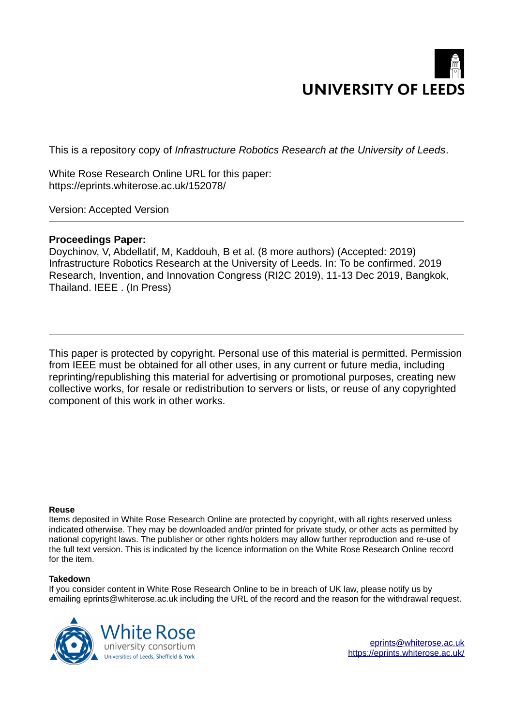

This is a repository copy of *Infrastructure Robotics Research at the University of Leeds*.

White Rose Research Online URL for this paper: https://eprints.whiterose.ac.uk/152078/

Version: Accepted Version

# **Proceedings Paper:**

Doychinov, V, Abdellatif, M, Kaddouh, B et al. (8 more authors) (Accepted: 2019) Infrastructure Robotics Research at the University of Leeds. In: To be confirmed. 2019 Research, Invention, and Innovation Congress (RI2C 2019), 11-13 Dec 2019, Bangkok, Thailand. IEEE . (In Press)

This paper is protected by copyright. Personal use of this material is permitted. Permission from IEEE must be obtained for all other uses, in any current or future media, including reprinting/republishing this material for advertising or promotional purposes, creating new collective works, for resale or redistribution to servers or lists, or reuse of any copyrighted component of this work in other works.

## **Reuse**

Items deposited in White Rose Research Online are protected by copyright, with all rights reserved unless indicated otherwise. They may be downloaded and/or printed for private study, or other acts as permitted by national copyright laws. The publisher or other rights holders may allow further reproduction and re-use of the full text version. This is indicated by the licence information on the White Rose Research Online record for the item.

## **Takedown**

If you consider content in White Rose Research Online to be in breach of UK law, please notify us by emailing eprints@whiterose.ac.uk including the URL of the record and the reason for the withdrawal request.



eprints@whiterose.ac.uk https://eprints.whiterose.ac.uk/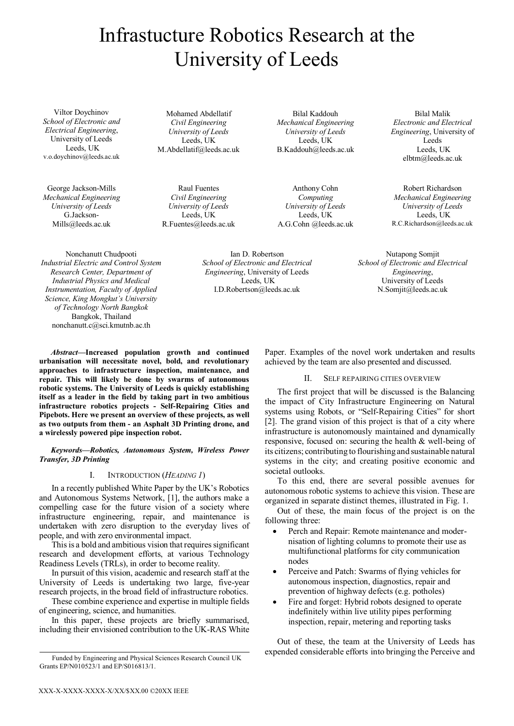# Infrastucture Robotics Research at the University of Leeds

Viltor Doychinov *School of Electronic and Electrical Engineering*, University of Leeds Leeds, UK v.o.doychinov@leeds.ac.uk

George Jackson-Mills *Mechanical Engineering University of Leeds*  G.Jackson-Mills@leeds.ac.uk

Mohamed Abdellatif *Civil Engineering University of Leeds* Leeds, UK M.Abdellatif@leeds.ac.uk

Raul Fuentes *Civil Engineering University of Leeds*  Leeds, UK R.Fuentes@leeds.ac.uk

Bilal Kaddouh *Mechanical Engineering University of Leeds*  Leeds, UK B.Kaddouh@leeds.ac.uk

Anthony Cohn *Computing University of Leeds*  Leeds, UK A.G.Cohn @leeds.ac.uk

Bilal Malik *Electronic and Electrical Engineering*, University of Leeds Leeds, UK elbtm@leeds.ac.uk

Robert Richardson *Mechanical Engineering University of Leeds* Leeds, UK R.C.Richardson@leeds.ac.uk

Nonchanutt Chudpooti *Industrial Electric and Control System Research Center, Department of Industrial Physics and Medical Instrumentation, Faculty of Applied Science, King Mongkut's University of Technology North Bangkok* Bangkok, Thailand nonchanutt.c@sci.kmutnb.ac.th

Ian D. Robertson *School of Electronic and Electrical Engineering*, University of Leeds Leeds, UK I.D.Robertson@leeds.ac.uk

Nutapong Somjit *School of Electronic and Electrical Engineering*, University of Leeds N.Somjit@leeds.ac.uk

*Abstract***—Increased population growth and continued urbanisation will necessitate novel, bold, and revolutionary approaches to infrastructure inspection, maintenance, and repair. This will likely be done by swarms of autonomous robotic systems. The University of Leeds is quickly establishing itself as a leader in the field by taking part in two ambitious infrastructure robotics projects - Self-Repairing Cities and Pipebots. Here we present an overview of these projects, as well as two outputs from them - an Asphalt 3D Printing drone, and a wirelessly powered pipe inspection robot.** 

## *Keywords—Robotics, Autonomous System, Wireless Power Transfer, 3D Printing*

## I. INTRODUCTION (*HEADING 1*)

In a recently published White Paper by the UK's Robotics and Autonomous Systems Network, [1], the authors make a compelling case for the future vision of a society where infrastructure engineering, repair, and maintenance is undertaken with zero disruption to the everyday lives of people, and with zero environmental impact.

This is a bold and ambitious vision that requires significant research and development efforts, at various Technology Readiness Levels (TRLs), in order to become reality.

In pursuit of this vision, academic and research staff at the University of Leeds is undertaking two large, five-year research projects, in the broad field of infrastructure robotics.

These combine experience and expertise in multiple fields of engineering, science, and humanities.

In this paper, these projects are briefly summarised, including their envisioned contribution to the UK-RAS White Paper. Examples of the novel work undertaken and results achieved by the team are also presented and discussed.

### II. SELF REPAIRING CITIES OVERVIEW

The first project that will be discussed is the Balancing the impact of City Infrastructure Engineering on Natural systems using Robots, or "Self-Repairing Cities" for short [2]. The grand vision of this project is that of a city where infrastructure is autonomously maintained and dynamically responsive, focused on: securing the health & well-being of its citizens; contributing to flourishing and sustainable natural systems in the city; and creating positive economic and societal outlooks.

To this end, there are several possible avenues for autonomous robotic systems to achieve this vision. These are organized in separate distinct themes, illustrated in Fig. 1.

Out of these, the main focus of the project is on the following three:

- Perch and Repair: Remote maintenance and modernisation of lighting columns to promote their use as multifunctional platforms for city communication nodes
- Perceive and Patch: Swarms of flying vehicles for autonomous inspection, diagnostics, repair and prevention of highway defects (e.g. potholes)
- Fire and forget: Hybrid robots designed to operate indefinitely within live utility pipes performing inspection, repair, metering and reporting tasks

Out of these, the team at the University of Leeds has expended considerable efforts into bringing the Perceive and

Funded by Engineering and Physical Sciences Research Council UK Grants EP/N010523/1 and EP/S016813/1.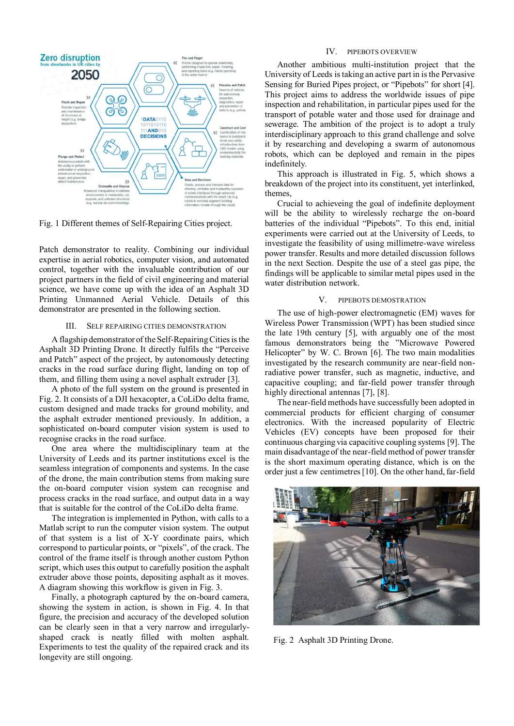

Fig. 1 Different themes of Self-Repairing Cities project.

Patch demonstrator to reality. Combining our individual expertise in aerial robotics, computer vision, and automated control, together with the invaluable contribution of our project partners in the field of civil engineering and material science, we have come up with the idea of an Asphalt 3D Printing Unmanned Aerial Vehicle. Details of this demonstrator are presented in the following section.

#### III. SELF REPAIRING CITIES DEMONSTRATION

A flagship demonstrator of the Self-Repairing Cities is the Asphalt 3D Printing Drone. It directly fulfils the "Perceive and Patch" aspect of the project, by autonomously detecting cracks in the road surface during flight, landing on top of them, and filling them using a novel asphalt extruder [3].

A photo of the full system on the ground is presented in Fig. 2. It consists of a DJI hexacopter, a CoLiDo delta frame, custom designed and made tracks for ground mobility, and the asphalt extruder mentioned previously. In addition, a sophisticated on-board computer vision system is used to recognise cracks in the road surface.

One area where the multidisciplinary team at the University of Leeds and its partner institutions excel is the seamless integration of components and systems. In the case of the drone, the main contribution stems from making sure the on-board computer vision system can recognise and process cracks in the road surface, and output data in a way that is suitable for the control of the CoLiDo delta frame.

The integration is implemented in Python, with calls to a Matlab script to run the computer vision system. The output of that system is a list of X-Y coordinate pairs, which correspond to particular points, or "pixels", of the crack. The control of the frame itself is through another custom Python script, which uses this output to carefully position the asphalt extruder above those points, depositing asphalt as it moves. A diagram showing this workflow is given in Fig. 3.

Finally, a photograph captured by the on-board camera, showing the system in action, is shown in Fig. 4. In that figure, the precision and accuracy of the developed solution can be clearly seen in that a very narrow and irregularlyshaped crack is neatly filled with molten asphalt. Experiments to test the quality of the repaired crack and its longevity are still ongoing.

## IV. PIPEBOTS OVERVIEW

Another ambitious multi-institution project that the University of Leeds is taking an active part in is the Pervasive Sensing for Buried Pipes project, or "Pipebots" for short [4]. This project aims to address the worldwide issues of pipe inspection and rehabilitation, in particular pipes used for the transport of potable water and those used for drainage and sewerage. The ambition of the project is to adopt a truly interdisciplinary approach to this grand challenge and solve it by researching and developing a swarm of autonomous robots, which can be deployed and remain in the pipes indefinitely.

This approach is illustrated in Fig. 5, which shows a breakdown of the project into its constituent, yet interlinked, themes,

Crucial to achieveing the goal of indefinite deployment will be the ability to wirelessly recharge the on-board batteries of the individual "Pipebots". To this end, initial experiments were carried out at the University of Leeds, to investigate the feasibility of using millimetre-wave wireless power transfer. Results and more detailed discussion follows in the next Section. Despite the use of a steel gas pipe, the findings will be applicable to similar metal pipes used in the water distribution network.

#### V. PIPEBOTS DEMOSTRATION

The use of high-power electromagnetic (EM) waves for Wireless Power Transmission (WPT) has been studied since the late 19th century [5], with arguably one of the most famous demonstrators being the "Microwave Powered Helicopter" by W. C. Brown [6]. The two main modalities investigated by the research community are near-field nonradiative power transfer, such as magnetic, inductive, and capacitive coupling; and far-field power transfer through highly directional antennas [7], [8].

The near-field methods have successfully been adopted in commercial products for efficient charging of consumer electronics. With the increased popularity of Electric Vehicles (EV) concepts have been proposed for their continuous charging via capacitive coupling systems [9]. The main disadvantage of the near-field method of power transfer is the short maximum operating distance, which is on the order just a few centimetres [10]. On the other hand, far-field



Fig. 2 Asphalt 3D Printing Drone.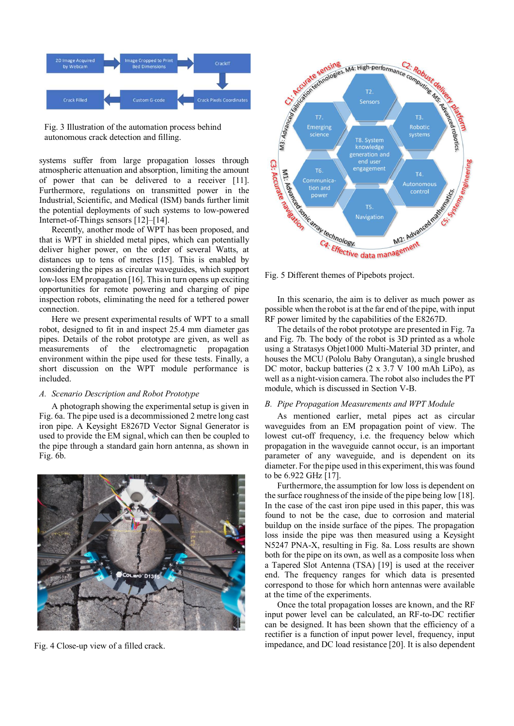

Fig. 3 Illustration of the automation process behind autonomous crack detection and filling.

systems suffer from large propagation losses through atmospheric attenuation and absorption, limiting the amount of power that can be delivered to a receiver [11]. Furthermore, regulations on transmitted power in the Industrial, Scientific, and Medical (ISM) bands further limit the potential deployments of such systems to low-powered Internet-of-Things sensors [12]–[14].

Recently, another mode of WPT has been proposed, and that is WPT in shielded metal pipes, which can potentially deliver higher power, on the order of several Watts, at distances up to tens of metres [15]. This is enabled by considering the pipes as circular waveguides, which support low-loss EM propagation [16]. This in turn opens up exciting opportunities for remote powering and charging of pipe inspection robots, eliminating the need for a tethered power connection.

Here we present experimental results of WPT to a small robot, designed to fit in and inspect 25.4 mm diameter gas pipes. Details of the robot prototype are given, as well as measurements of the electromagnetic propagation environment within the pipe used for these tests. Finally, a short discussion on the WPT module performance is included.

## *A. Scenario Description and Robot Prototype*

A photograph showing the experimental setup is given in Fig. 6a. The pipe used is a decommissioned 2 metre long cast iron pipe. A Keysight E8267D Vector Signal Generator is used to provide the EM signal, which can then be coupled to the pipe through a standard gain horn antenna, as shown in Fig. 6b.



Fig. 4 Close-up view of a filled crack.



In this scenario, the aim is to deliver as much power as possible when the robot is at the far end of the pipe, with input RF power limited by the capabilities of the E8267D.

The details of the robot prototype are presented in Fig. 7a and Fig. 7b. The body of the robot is 3D printed as a whole using a Stratasys Objet1000 Multi-Material 3D printer, and houses the MCU (Pololu Baby Orangutan), a single brushed DC motor, backup batteries (2 x 3.7 V 100 mAh LiPo), as well as a night-vision camera. The robot also includes the PT module, which is discussed in Section V-B.

#### *B. Pipe Propagation Measurements and WPT Module*

As mentioned earlier, metal pipes act as circular waveguides from an EM propagation point of view. The lowest cut-off frequency, i.e. the frequency below which propagation in the waveguide cannot occur, is an important parameter of any waveguide, and is dependent on its diameter. For the pipe used in this experiment, this was found to be 6.922 GHz [17].

Furthermore, the assumption for low loss is dependent on the surface roughness of the inside of the pipe being low [18]. In the case of the cast iron pipe used in this paper, this was found to not be the case, due to corrosion and material buildup on the inside surface of the pipes. The propagation loss inside the pipe was then measured using a Keysight N5247 PNA-X, resulting in Fig. 8a. Loss results are shown both for the pipe on its own, as well as a composite loss when a Tapered Slot Antenna (TSA) [19] is used at the receiver end. The frequency ranges for which data is presented correspond to those for which horn antennas were available at the time of the experiments.

Once the total propagation losses are known, and the RF input power level can be calculated, an RF-to-DC rectifier can be designed. It has been shown that the efficiency of a rectifier is a function of input power level, frequency, input impedance, and DC load resistance [20]. It is also dependent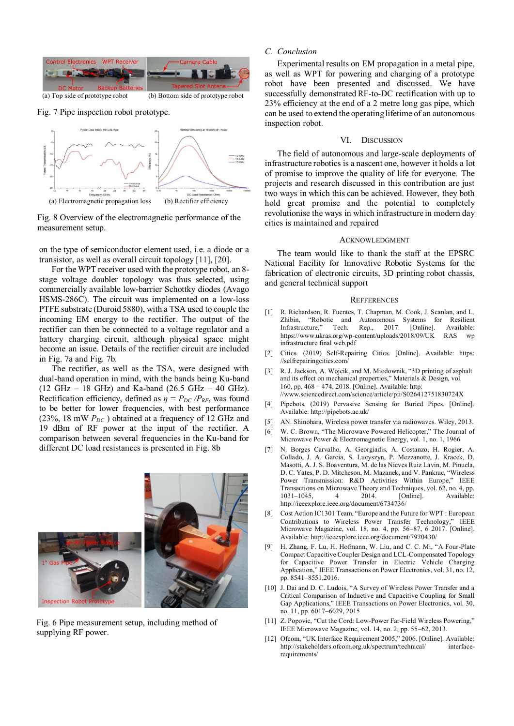

(a) Top side of prototype robot (b) Bottom side of prototype robot

Fig. 7 Pipe inspection robot prototype.



Fig. 8 Overview of the electromagnetic performance of the measurement setup.

on the type of semiconductor element used, i.e. a diode or a transistor, as well as overall circuit topology [11], [20].

For the WPT receiver used with the prototype robot, an 8 stage voltage doubler topology was thus selected, using commercially available low-barrier Schottky diodes (Avago HSMS-286C). The circuit was implemented on a low-loss PTFE substrate (Duroid 5880), with a TSA used to couple the incoming EM energy to the rectifier. The output of the rectifier can then be connected to a voltage regulator and a battery charging circuit, although physical space might become an issue. Details of the rectifier circuit are included in Fig. 7a and Fig. 7b.

The rectifier, as well as the TSA, were designed with dual-band operation in mind, with the bands being Ku-band  $(12 \text{ GHz} - 18 \text{ GHz})$  and Ka-band  $(26.5 \text{ GHz} - 40 \text{ GHz})$ . Rectification efficiency, defined as  $\eta = P_{DC} / P_{RF}$ , was found to be better for lower frequencies, with best performance (23%, 18 mW *PDC* ) obtained at a frequency of 12 GHz and 19 dBm of RF power at the input of the rectifier. A comparison between several frequencies in the Ku-band for different DC load resistances is presented in Fig. 8b



Fig. 6 Pipe measurement setup, including method of supplying RF power.

## *C. Conclusion*

Experimental results on EM propagation in a metal pipe, as well as WPT for powering and charging of a prototype robot have been presented and discussed. We have successfully demonstrated RF-to-DC rectification with up to 23% efficiency at the end of a 2 metre long gas pipe, which can be used to extend the operating lifetime of an autonomous inspection robot.

#### VI. DISCUSSION

The field of autonomous and large-scale deployments of infrastructure robotics is a nascent one, however it holds a lot of promise to improve the quality of life for everyone. The projects and research discussed in this contribution are just two ways in which this can be achieved. However, they both hold great promise and the potential to completely revolutionise the ways in which infrastructure in modern day cities is maintained and repaired

#### ACKNOWLEDGMENT

The team would like to thank the staff at the EPSRC National Facility for Innovative Robotic Systems for the fabrication of electronic circuits, 3D printing robot chassis, and general technical support

#### **REFFERENCES**

- [1] R. Richardson, R. Fuentes, T. Chapman, M. Cook, J. Scanlan, and L. Zhibin, "Robotic and Autonomous Systems for Resilient Infrastructure," Tech. Rep., https://www.ukras.org/wp-content/uploads/2018/09/UK RAS wp infrastructure final web.pdf
- [2] Cities. (2019) Self-Repairing Cities. [Online]. Available: https: //selfrepairingcities.com/
- [3] R. J. Jackson, A. Wojcik, and M. Miodownik, "3D printing of asphalt and its effect on mechanical properties," Materials & Design, vol. 160, pp. 468 – 474, 2018. [Online]. Available: http: //www.sciencedirect.com/science/article/pii/S026412751830724X
- [4] Pipebots. (2019) Pervasive Sensing for Buried Pipes. [Online]. Available: http://pipebots.ac.uk/
- [5] AN. Shinohara, Wireless power transfer via radiowaves. Wiley, 2013.
- [6] W. C. Brown, "The Microwave Powered Helicopter," The Journal of Microwave Power & Electromagnetic Energy, vol. 1, no. 1, 1966
- [7] N. Borges Carvalho, A. Georgiadis, A. Costanzo, H. Rogier, A. Collado, J. A. Garcia, S. Lucyszyn, P. Mezzanotte, J. Kracek, D. Masotti, A. J. S. Boaventura, M. de las Nieves Ruiz Lavin, M. Pinuela, D. C. Yates, P. D. Mitcheson, M. Mazanek, and V. Pankrac, "Wireless Power Transmission: R&D Activities Within Europe," IEEE Transactions on Microwave Theory and Techniques, vol. 62, no. 4, pp. 1031–1045, 4 2014. [Online]. Available: Available: http://ieeexplore.ieee.org/document/6734736/
- [8] Cost Action IC1301 Team, "Europe and the Future for WPT : European Contributions to Wireless Power Transfer Technology," IEEE Microwave Magazine, vol. 18, no. 4, pp. 56–87, 6 2017. [Online]. Available: http://ieeexplore.ieee.org/document/7920430/
- H. Zhang, F. Lu, H. Hofmann, W. Liu, and C. C. Mi, "A Four-Plate Compact Capacitive Coupler Design and LCL-Compensated Topology for Capacitive Power Transfer in Electric Vehicle Charging Application," IEEE Transactions on Power Electronics, vol. 31, no. 12, pp. 8541–8551,2016.
- [10] J. Dai and D. C. Ludois, "A Survey of Wireless Power Transfer and a Critical Comparison of Inductive and Capacitive Coupling for Small Gap Applications," IEEE Transactions on Power Electronics, vol. 30, no. 11, pp. 6017–6029, 2015
- [11] Z. Popovic, "Cut the Cord: Low-Power Far-Field Wireless Powering," IEEE Microwave Magazine, vol. 14, no. 2, pp. 55–62, 2013.
- [12] Ofcom, "UK Interface Requirement 2005," 2006. [Online]. Available: http://stakeholders.ofcom.org.uk/spectrum/technical/ interfacerequirements/